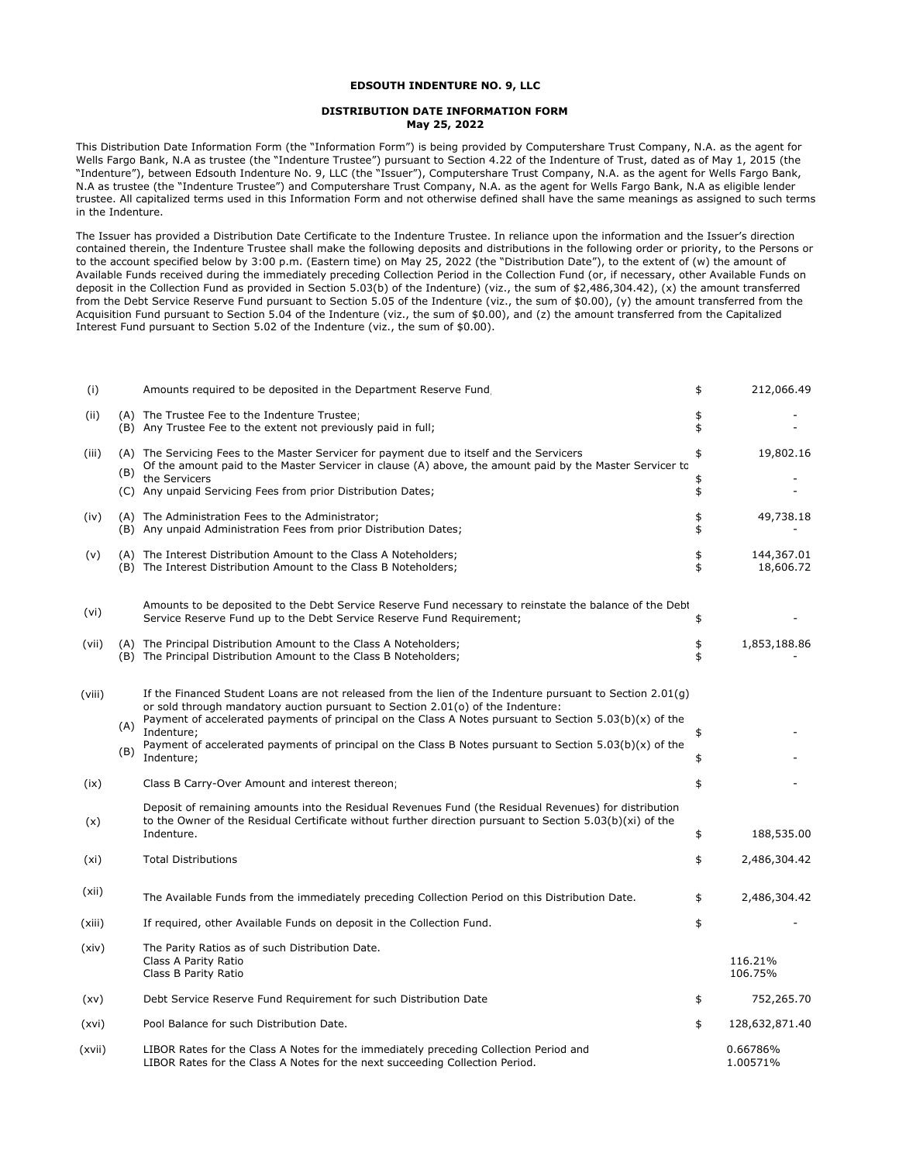## **EDSOUTH INDENTURE NO. 9, LLC**

## **DISTRIBUTION DATE INFORMATION FORM May 25, 2022**

This Distribution Date Information Form (the "Information Form") is being provided by Computershare Trust Company, N.A. as the agent for Wells Fargo Bank, N.A as trustee (the "Indenture Trustee") pursuant to Section 4.22 of the Indenture of Trust, dated as of May 1, 2015 (the "Indenture"), between Edsouth Indenture No. 9, LLC (the "Issuer"), Computershare Trust Company, N.A. as the agent for Wells Fargo Bank, N.A as trustee (the "Indenture Trustee") and Computershare Trust Company, N.A. as the agent for Wells Fargo Bank, N.A as eligible lender trustee. All capitalized terms used in this Information Form and not otherwise defined shall have the same meanings as assigned to such terms in the Indenture.

The Issuer has provided a Distribution Date Certificate to the Indenture Trustee. In reliance upon the information and the Issuer's direction contained therein, the Indenture Trustee shall make the following deposits and distributions in the following order or priority, to the Persons or to the account specified below by 3:00 p.m. (Eastern time) on May 25, 2022 (the "Distribution Date"), to the extent of (w) the amount of Available Funds received during the immediately preceding Collection Period in the Collection Fund (or, if necessary, other Available Funds on deposit in the Collection Fund as provided in Section 5.03(b) of the Indenture) (viz., the sum of \$2,486,304.42), (x) the amount transferred from the Debt Service Reserve Fund pursuant to Section 5.05 of the Indenture (viz., the sum of \$0.00), (y) the amount transferred from the Acquisition Fund pursuant to Section 5.04 of the Indenture (viz., the sum of \$0.00), and (z) the amount transferred from the Capitalized Interest Fund pursuant to Section 5.02 of the Indenture (viz., the sum of \$0.00).

| (i)    |     | Amounts required to be deposited in the Department Reserve Fund                                                                                                                                                                                                                                                         | \$       | 212,066.49              |
|--------|-----|-------------------------------------------------------------------------------------------------------------------------------------------------------------------------------------------------------------------------------------------------------------------------------------------------------------------------|----------|-------------------------|
| (ii)   |     | (A) The Trustee Fee to the Indenture Trustee<br>(B) Any Trustee Fee to the extent not previously paid in full;                                                                                                                                                                                                          | \$<br>\$ |                         |
| (iii)  | (B) | (A) The Servicing Fees to the Master Servicer for payment due to itself and the Servicers<br>Of the amount paid to the Master Servicer in clause (A) above, the amount paid by the Master Servicer to<br>the Servicers                                                                                                  | \$<br>\$ | 19,802.16               |
|        |     | (C) Any unpaid Servicing Fees from prior Distribution Dates;                                                                                                                                                                                                                                                            | \$       |                         |
| (iv)   |     | (A) The Administration Fees to the Administrator;<br>(B) Any unpaid Administration Fees from prior Distribution Dates;                                                                                                                                                                                                  | \$<br>\$ | 49,738.18               |
| (v)    |     | (A) The Interest Distribution Amount to the Class A Noteholders;<br>(B) The Interest Distribution Amount to the Class B Noteholders;                                                                                                                                                                                    | \$<br>\$ | 144,367.01<br>18,606.72 |
| (vi)   |     | Amounts to be deposited to the Debt Service Reserve Fund necessary to reinstate the balance of the Debt<br>Service Reserve Fund up to the Debt Service Reserve Fund Requirement;                                                                                                                                        | \$       |                         |
| (vii)  |     | (A) The Principal Distribution Amount to the Class A Noteholders;<br>(B) The Principal Distribution Amount to the Class B Noteholders;                                                                                                                                                                                  | \$<br>\$ | 1,853,188.86            |
| (viii) | (A) | If the Financed Student Loans are not released from the lien of the Indenture pursuant to Section 2.01(g)<br>or sold through mandatory auction pursuant to Section 2.01(o) of the Indenture:<br>Payment of accelerated payments of principal on the Class A Notes pursuant to Section $5.03(b)(x)$ of the<br>Indenture; | \$       |                         |
|        | (B) | Payment of accelerated payments of principal on the Class B Notes pursuant to Section $5.03(b)(x)$ of the<br>Indenture;                                                                                                                                                                                                 | \$       |                         |
| (ix)   |     | Class B Carry-Over Amount and interest thereon;                                                                                                                                                                                                                                                                         | \$       |                         |
| (x)    |     | Deposit of remaining amounts into the Residual Revenues Fund (the Residual Revenues) for distribution<br>to the Owner of the Residual Certificate without further direction pursuant to Section 5.03(b)(xi) of the<br>Indenture.                                                                                        | \$       | 188,535.00              |
| (xi)   |     | <b>Total Distributions</b>                                                                                                                                                                                                                                                                                              | \$       | 2,486,304.42            |
| (xii)  |     | The Available Funds from the immediately preceding Collection Period on this Distribution Date.                                                                                                                                                                                                                         | \$       | 2,486,304.42            |
| (xiii) |     | If required, other Available Funds on deposit in the Collection Fund.                                                                                                                                                                                                                                                   | \$       |                         |
| (xiv)  |     | The Parity Ratios as of such Distribution Date.<br>Class A Parity Ratio<br>Class B Parity Ratio                                                                                                                                                                                                                         |          | 116.21%<br>106.75%      |
| (xv)   |     | Debt Service Reserve Fund Requirement for such Distribution Date                                                                                                                                                                                                                                                        | \$       | 752,265.70              |
| (xvi)  |     | Pool Balance for such Distribution Date.                                                                                                                                                                                                                                                                                | \$       | 128,632,871.40          |
| (xvii) |     | LIBOR Rates for the Class A Notes for the immediately preceding Collection Period and<br>LIBOR Rates for the Class A Notes for the next succeeding Collection Period.                                                                                                                                                   |          | 0.66786%<br>1.00571%    |